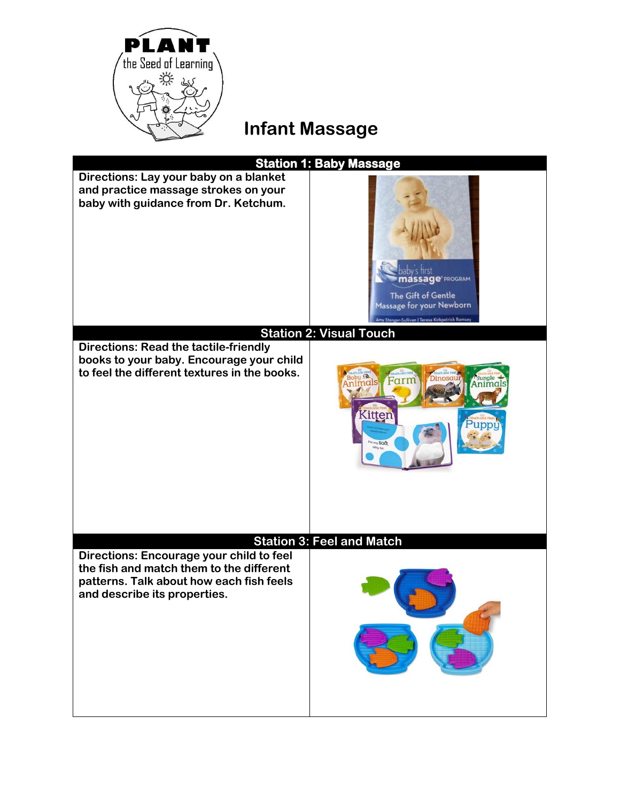

## **Infant Massage**